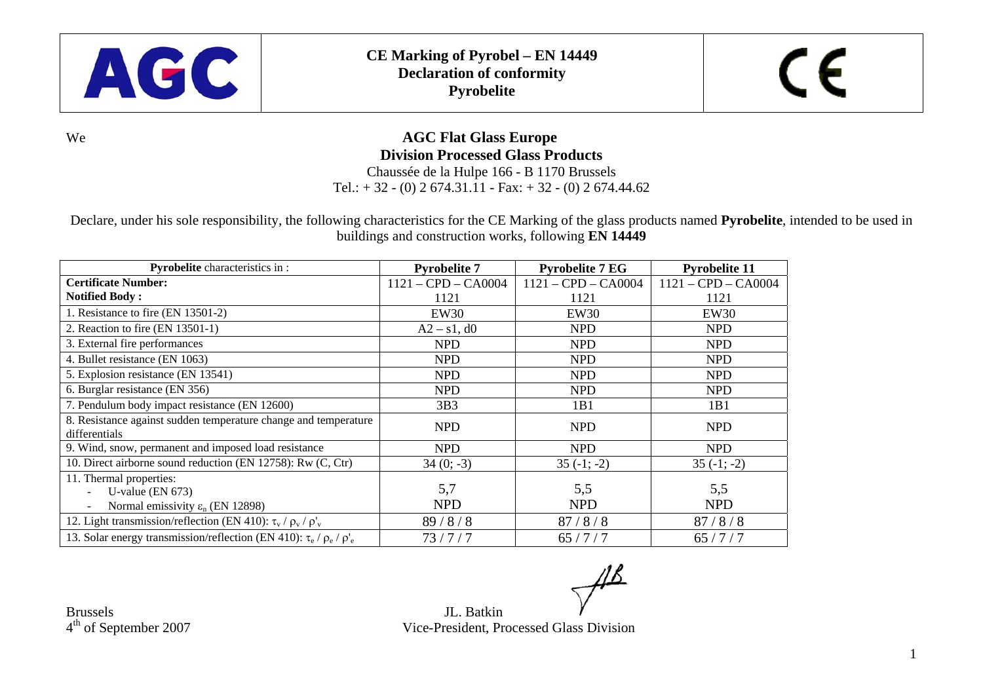

Chaussée de la Hulpe 166 - B 1170 Brussels Tel.:  $+ 32 - (0) 2 674.31.11 - Fax: + 32 - (0) 2 674.44.62$ 

Declare, under his sole responsibility, the following characteristics for the CE Marking of the glass products named **Pyrobelite**, intended to be used in buildings and construction works, following **EN 14449** 

| Pyrobelite characteristics in:                                                                  | <b>Pyrobelite 7</b>   | <b>Pyrobelite 7 EG</b> | <b>Pyrobelite 11</b>  |
|-------------------------------------------------------------------------------------------------|-----------------------|------------------------|-----------------------|
| <b>Certificate Number:</b>                                                                      | $1121 - CPD - CA0004$ | $1121 - CPD - CA0004$  | $1121 - CPD - CA0004$ |
| <b>Notified Body:</b>                                                                           | 1121                  | 1121                   | 1121                  |
| 1. Resistance to fire (EN 13501-2)                                                              | EW <sub>30</sub>      | EW30                   | EW30                  |
| 2. Reaction to fire $(EN 13501-1)$                                                              | $A2 - s1$ , d0        | <b>NPD</b>             | <b>NPD</b>            |
| 3. External fire performances                                                                   | NPD.                  | <b>NPD</b>             | <b>NPD</b>            |
| 4. Bullet resistance (EN 1063)                                                                  | <b>NPD</b>            | <b>NPD</b>             | <b>NPD</b>            |
| 5. Explosion resistance (EN 13541)                                                              | <b>NPD</b>            | <b>NPD</b>             | <b>NPD</b>            |
| 6. Burglar resistance (EN 356)                                                                  | NPD                   | <b>NPD</b>             | <b>NPD</b>            |
| 7. Pendulum body impact resistance (EN 12600)                                                   | 3B <sub>3</sub>       | 1B1                    | 1B1                   |
| 8. Resistance against sudden temperature change and temperature<br>differentials                | <b>NPD</b>            | <b>NPD</b>             | <b>NPD</b>            |
| 9. Wind, snow, permanent and imposed load resistance                                            | <b>NPD</b>            | <b>NPD</b>             | <b>NPD</b>            |
| 10. Direct airborne sound reduction (EN 12758): Rw (C, Ctr)                                     | $34(0; -3)$           | $35(-1;-2)$            | $35(-1; -2)$          |
| 11. Thermal properties:<br>U-value ( $EN 673$ )<br>Normal emissivity $\varepsilon_n$ (EN 12898) | 5,7<br><b>NPD</b>     | 5,5<br><b>NPD</b>      | 5,5<br><b>NPD</b>     |
| 12. Light transmission/reflection (EN 410): $\tau_v / \rho_v / \rho_v'$                         | 89/8/8                | 87/8/8                 | 87/8/8                |
| 13. Solar energy transmission/reflection (EN 410): $\tau_e$ / $\rho_e$ / $\rho_e'$              | 73/7/7                | 65/7/7                 | 65/7/7                |

<sup>4</sup>th of September 2007 Vice-President, Processed Glass Division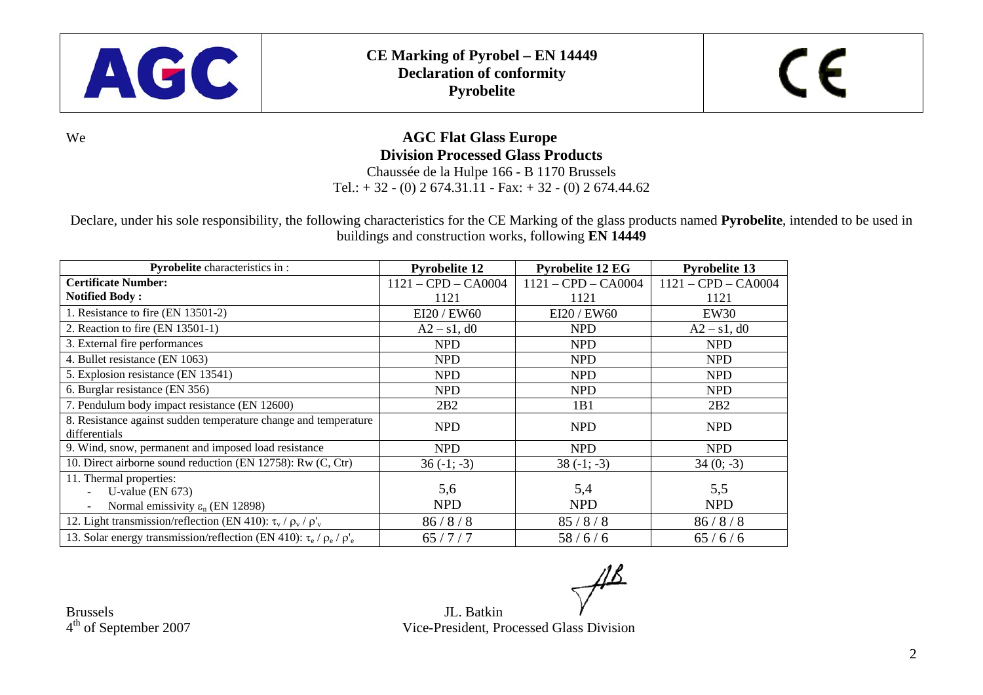

Chaussée de la Hulpe 166 - B 1170 Brussels Tel.:  $+ 32 - (0) 2 674.31.11 - Fax: + 32 - (0) 2 674.44.62$ 

Declare, under his sole responsibility, the following characteristics for the CE Marking of the glass products named **Pyrobelite**, intended to be used in buildings and construction works, following **EN 14449** 

| Pyrobelite characteristics in:                                                                  | <b>Pyrobelite 12</b>  | <b>Pyrobelite 12 EG</b> | <b>Pyrobelite 13</b>  |
|-------------------------------------------------------------------------------------------------|-----------------------|-------------------------|-----------------------|
| <b>Certificate Number:</b>                                                                      | $1121 - CPD - CA0004$ | $1121 - CPD - CA0004$   | $1121 - CPD - CA0004$ |
| <b>Notified Body:</b>                                                                           | 1121                  | 1121                    | 1121                  |
| 1. Resistance to fire (EN 13501-2)                                                              | EI20 / EW60           | EI20 / EW60             | EW <sub>30</sub>      |
| 2. Reaction to fire $(EN 13501-1)$                                                              | $A2 - s1$ , d0        | <b>NPD</b>              | $A2 - s1$ , d0        |
| 3. External fire performances                                                                   | NPD                   | <b>NPD</b>              | <b>NPD</b>            |
| 4. Bullet resistance (EN 1063)                                                                  | <b>NPD</b>            | <b>NPD</b>              | <b>NPD</b>            |
| 5. Explosion resistance (EN 13541)                                                              | <b>NPD</b>            | <b>NPD</b>              | <b>NPD</b>            |
| 6. Burglar resistance (EN 356)                                                                  | NPD                   | <b>NPD</b>              | <b>NPD</b>            |
| 7. Pendulum body impact resistance (EN 12600)                                                   | 2B2                   | 1B1                     | 2B2                   |
| 8. Resistance against sudden temperature change and temperature<br>differentials                | <b>NPD</b>            | <b>NPD</b>              | <b>NPD</b>            |
| 9. Wind, snow, permanent and imposed load resistance                                            | <b>NPD</b>            | <b>NPD</b>              | <b>NPD</b>            |
| 10. Direct airborne sound reduction (EN 12758): Rw (C, Ctr)                                     | $36(-1; -3)$          | $38(-1; -3)$            | $34(0; -3)$           |
| 11. Thermal properties:<br>U-value ( $EN 673$ )<br>Normal emissivity $\varepsilon_n$ (EN 12898) | 5,6<br><b>NPD</b>     | 5,4<br><b>NPD</b>       | 5,5<br><b>NPD</b>     |
| 12. Light transmission/reflection (EN 410): $\tau_v / \rho_v / \rho_v'$                         | 86/8/8                | 85/8/8                  | 86/8/8                |
| 13. Solar energy transmission/reflection (EN 410): $\tau_e$ / $\rho_e$ / $\rho_e'$              | 65/7/7                | 58/6/6                  | 65/6/6                |

<sup>4</sup>th of September 2007 Vice-President, Processed Glass Division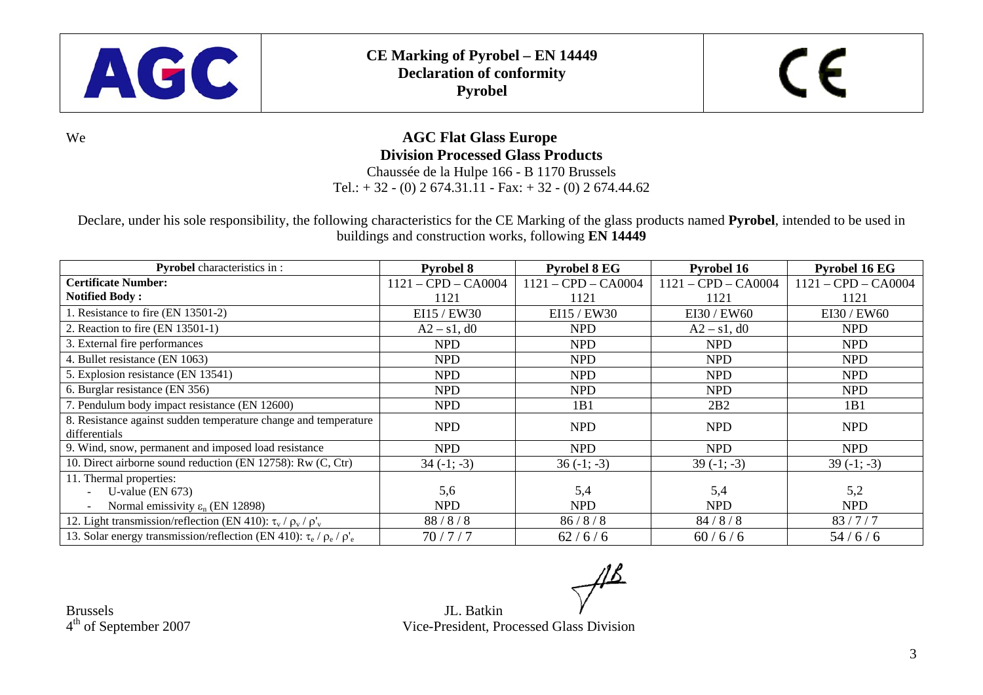

Chaussée de la Hulpe 166 - B 1170 Brussels Tel.:  $+ 32 - (0) 2 674.31.11 - Fax: + 32 - (0) 2 674.44.62$ 

Declare, under his sole responsibility, the following characteristics for the CE Marking of the glass products named **Pyrobel**, intended to be used in buildings and construction works, following **EN 14449** 

| <b>Pyrobel</b> characteristics in:                                                 | <b>Pyrobel 8</b>      | <b>Pyrobel 8 EG</b>   | <b>Pyrobel 16</b>     | <b>Pyrobel 16 EG</b>  |
|------------------------------------------------------------------------------------|-----------------------|-----------------------|-----------------------|-----------------------|
| <b>Certificate Number:</b>                                                         | $1121 - CPD - CA0004$ | $1121 - CPD - CA0004$ | $1121 - CPD - CA0004$ | $1121 - CPD - CA0004$ |
| <b>Notified Body:</b>                                                              | 1121                  | 1121                  | 1121                  | 1121                  |
| 1. Resistance to fire (EN 13501-2)                                                 | EI15 / EW30           | EI15 / EW30           | EI30 / EW60           | EI30 / EW60           |
| 2. Reaction to fire $(EN 13501-1)$                                                 | $A2 - s1$ , d0        | <b>NPD</b>            | $A2 - s1$ , d0        | <b>NPD</b>            |
| 3. External fire performances                                                      | NPD                   | <b>NPD</b>            | <b>NPD</b>            | <b>NPD</b>            |
| 4. Bullet resistance (EN 1063)                                                     | <b>NPD</b>            | <b>NPD</b>            | <b>NPD</b>            | <b>NPD</b>            |
| 5. Explosion resistance (EN 13541)                                                 | <b>NPD</b>            | <b>NPD</b>            | <b>NPD</b>            | <b>NPD</b>            |
| 6. Burglar resistance (EN 356)                                                     | <b>NPD</b>            | <b>NPD</b>            | <b>NPD</b>            | <b>NPD</b>            |
| 7. Pendulum body impact resistance (EN 12600)                                      | <b>NPD</b>            | 1B1                   | 2B2                   | 1B1                   |
| 8. Resistance against sudden temperature change and temperature<br>differentials   | <b>NPD</b>            | <b>NPD</b>            | <b>NPD</b>            | <b>NPD</b>            |
| 9. Wind, snow, permanent and imposed load resistance                               | <b>NPD</b>            | <b>NPD</b>            | <b>NPD</b>            | <b>NPD</b>            |
| 10. Direct airborne sound reduction (EN 12758): Rw (C, Ctr)                        | $34(-1; -3)$          | $36(-1; -3)$          | $39(-1; -3)$          | $39(-1; -3)$          |
| 11. Thermal properties:                                                            |                       |                       |                       |                       |
| U-value ( $EN 673$ )                                                               | 5,6                   | 5,4                   | 5,4                   | 5,2                   |
| Normal emissivity $\varepsilon_n$ (EN 12898)                                       | <b>NPD</b>            | <b>NPD</b>            | <b>NPD</b>            | <b>NPD</b>            |
| 12. Light transmission/reflection (EN 410): $\tau_v / \rho_v / \rho'_v$            | 88/8/8                | 86/8/8                | 84/8/8                | 83/7/7                |
| 13. Solar energy transmission/reflection (EN 410): $\tau_e$ / $\rho_e$ / $\rho_e'$ | 70/7/7                | 62/6/6                | 60/6/6                | 54/6/6                |

<sup>4</sup>th of September 2007 Vice-President, Processed Glass Division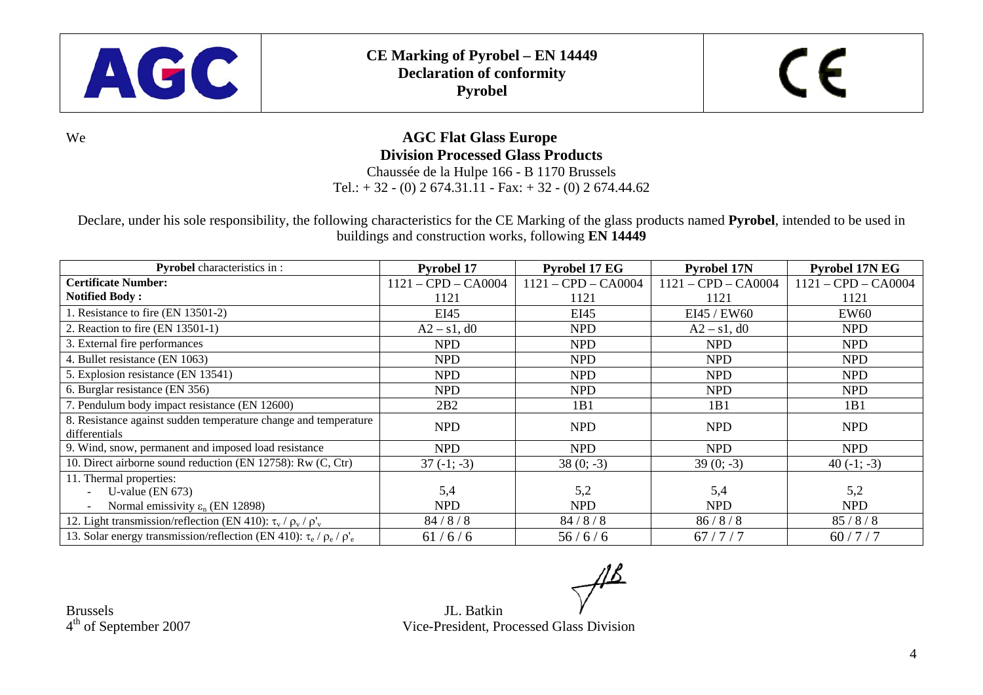

Chaussée de la Hulpe 166 - B 1170 Brussels Tel.:  $+ 32 - (0) 2 674.31.11 - Fax: + 32 - (0) 2 674.44.62$ 

Declare, under his sole responsibility, the following characteristics for the CE Marking of the glass products named **Pyrobel**, intended to be used in buildings and construction works, following **EN 14449** 

| <b>Pyrobel</b> characteristics in:                                                 | <b>Pyrobel 17</b>     | <b>Pyrobel 17 EG</b>  | <b>Pyrobel 17N</b>    | <b>Pyrobel 17N EG</b> |
|------------------------------------------------------------------------------------|-----------------------|-----------------------|-----------------------|-----------------------|
| <b>Certificate Number:</b>                                                         | $1121 - CPD - CA0004$ | $1121 - CPD - CA0004$ | $1121 - CPD - CA0004$ | $1121 - CPD - CA0004$ |
| <b>Notified Body:</b>                                                              | 1121                  | 1121                  | 1121                  | 1121                  |
| . Resistance to fire (EN 13501-2)                                                  | EI45                  | EI45                  | EI45 / EW60           | <b>EW60</b>           |
| 2. Reaction to fire $(EN 13501-1)$                                                 | $A2 - s1$ , d0        | <b>NPD</b>            | $A2 - s1$ , d0        | NPD                   |
| 3. External fire performances                                                      | NPD                   | <b>NPD</b>            | <b>NPD</b>            | <b>NPD</b>            |
| 4. Bullet resistance (EN 1063)                                                     | NPD                   | <b>NPD</b>            | <b>NPD</b>            | <b>NPD</b>            |
| 5. Explosion resistance (EN 13541)                                                 | NPD                   | <b>NPD</b>            | <b>NPD</b>            | <b>NPD</b>            |
| 6. Burglar resistance (EN 356)                                                     | NPD                   | <b>NPD</b>            | <b>NPD</b>            | <b>NPD</b>            |
| 7. Pendulum body impact resistance (EN 12600)                                      | 2B2                   | 1B1                   | 1B1                   | 1B1                   |
| 8. Resistance against sudden temperature change and temperature<br>differentials   | <b>NPD</b>            | <b>NPD</b>            | <b>NPD</b>            | <b>NPD</b>            |
| 9. Wind, snow, permanent and imposed load resistance                               | NPD                   | <b>NPD</b>            | <b>NPD</b>            | NPD                   |
| 10. Direct airborne sound reduction (EN 12758): Rw (C, Ctr)                        | $37(-1; -3)$          | $38(0; -3)$           | $39(0; -3)$           | 40 $(-1; -3)$         |
| 11. Thermal properties:                                                            |                       |                       |                       |                       |
| U-value ( $EN 673$ )                                                               | 5,4                   | 5,2                   | 5,4                   | 5,2                   |
| Normal emissivity $\varepsilon_n$ (EN 12898)                                       | <b>NPD</b>            | <b>NPD</b>            | <b>NPD</b>            | <b>NPD</b>            |
| 12. Light transmission/reflection (EN 410): $\tau_v / \rho_v / \rho'_v$            | 84/8/8                | 84/8/8                | 86/8/8                | 85/8/8                |
| 13. Solar energy transmission/reflection (EN 410): $\tau_e$ / $\rho_e$ / $\rho_e'$ | 61/6/6                | 56/6/6                | 67/7/7                | 60/7/7                |

<sup>4</sup>th of September 2007 Vice-President, Processed Glass Division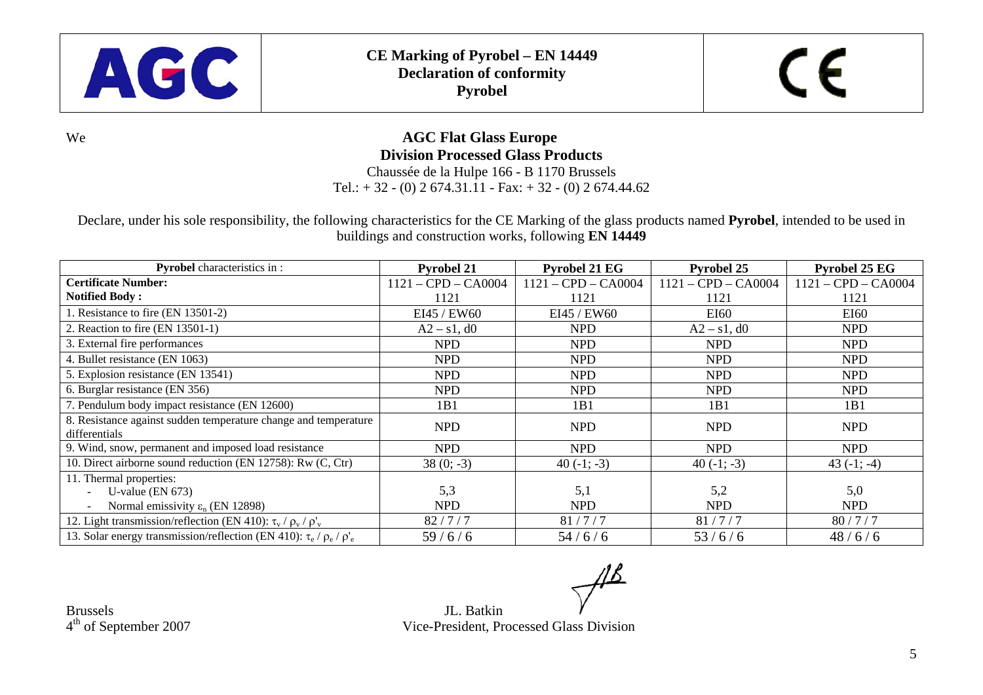

Chaussée de la Hulpe 166 - B 1170 Brussels Tel.:  $+ 32 - (0) 2 674.31.11 - Fax: + 32 - (0) 2 674.44.62$ 

Declare, under his sole responsibility, the following characteristics for the CE Marking of the glass products named **Pyrobel**, intended to be used in buildings and construction works, following **EN 14449** 

| <b>Pyrobel</b> characteristics in:                                                 | <b>Pyrobel 21</b>     | <b>Pyrobel 21 EG</b>  | <b>Pyrobel 25</b>     | <b>Pyrobel 25 EG</b>  |
|------------------------------------------------------------------------------------|-----------------------|-----------------------|-----------------------|-----------------------|
| <b>Certificate Number:</b>                                                         | $1121 - CPD - CA0004$ | $1121 - CPD - CA0004$ | $1121 - CPD - CA0004$ | $1121 - CPD - CA0004$ |
| <b>Notified Body:</b>                                                              | 1121                  | 1121                  | 1121                  | 1121                  |
| . Resistance to fire (EN 13501-2)                                                  | EI45 / EW60           | EI45 / EW60           | EI60                  | EI60                  |
| 2. Reaction to fire $(EN 13501-1)$                                                 | $A2 - s1$ , d0        | <b>NPD</b>            | $A2 - s1$ , d0        | <b>NPD</b>            |
| 3. External fire performances                                                      | NPD                   | <b>NPD</b>            | <b>NPD</b>            | <b>NPD</b>            |
| 4. Bullet resistance (EN 1063)                                                     | <b>NPD</b>            | <b>NPD</b>            | <b>NPD</b>            | <b>NPD</b>            |
| 5. Explosion resistance (EN 13541)                                                 | <b>NPD</b>            | <b>NPD</b>            | <b>NPD</b>            | <b>NPD</b>            |
| 6. Burglar resistance (EN 356)                                                     | <b>NPD</b>            | <b>NPD</b>            | <b>NPD</b>            | <b>NPD</b>            |
| 7. Pendulum body impact resistance (EN 12600)                                      | 1B1                   | 1B1                   | 1B1                   | 1B1                   |
| 8. Resistance against sudden temperature change and temperature<br>differentials   | <b>NPD</b>            | <b>NPD</b>            | <b>NPD</b>            | <b>NPD</b>            |
| 9. Wind, snow, permanent and imposed load resistance                               | <b>NPD</b>            | <b>NPD</b>            | <b>NPD</b>            | <b>NPD</b>            |
| 10. Direct airborne sound reduction (EN 12758): Rw (C, Ctr)                        | $38(0; -3)$           | 40 $(-1; -3)$         | $40(-1; -3)$          | 43 $(-1; -4)$         |
| 11. Thermal properties:                                                            |                       |                       |                       |                       |
| U-value $(EN 673)$                                                                 | 5,3                   | 5,1                   | 5,2                   | 5,0                   |
| Normal emissivity $\varepsilon_n$ (EN 12898)                                       | <b>NPD</b>            | <b>NPD</b>            | <b>NPD</b>            | <b>NPD</b>            |
| 12. Light transmission/reflection (EN 410): $\tau_v / \rho_v / \rho'_v$            | 82/7/7                | 81/7/7                | 81/7/7                | 80/7/7                |
| 13. Solar energy transmission/reflection (EN 410): $\tau_e$ / $\rho_e$ / $\rho_e'$ | 59/6/6                | 54/6/6                | 53/6/6                | 48/6/6                |

<sup>4</sup>th of September 2007 Vice-President, Processed Glass Division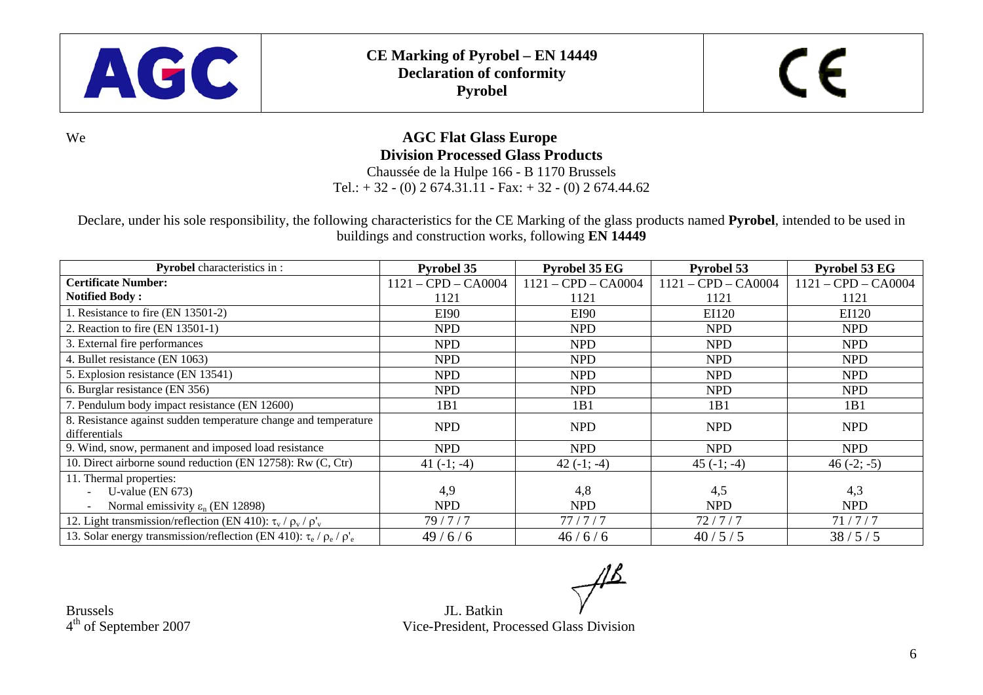

Chaussée de la Hulpe 166 - B 1170 Brussels Tel.:  $+ 32 - (0) 2 674.31.11 - Fax: + 32 - (0) 2 674.44.62$ 

Declare, under his sole responsibility, the following characteristics for the CE Marking of the glass products named **Pyrobel**, intended to be used in buildings and construction works, following **EN 14449** 

| <b>Pyrobel</b> characteristics in:                                                 | <b>Pyrobel 35</b>     | <b>Pyrobel 35 EG</b>  | <b>Pyrobel 53</b>     | <b>Pyrobel 53 EG</b>  |
|------------------------------------------------------------------------------------|-----------------------|-----------------------|-----------------------|-----------------------|
| <b>Certificate Number:</b>                                                         | $1121 - CPD - CA0004$ | $1121 - CPD - CA0004$ | $1121 - CPD - CA0004$ | $1121 - CPD - CA0004$ |
| <b>Notified Body:</b>                                                              | 1121                  | 1121                  | 1121                  | 1121                  |
| 1. Resistance to fire (EN 13501-2)                                                 | EI90                  | EI90                  | EI120                 | EI120                 |
| 2. Reaction to fire $(EN 13501-1)$                                                 | <b>NPD</b>            | <b>NPD</b>            | <b>NPD</b>            | <b>NPD</b>            |
| 3. External fire performances                                                      | <b>NPD</b>            | <b>NPD</b>            | <b>NPD</b>            | <b>NPD</b>            |
| 4. Bullet resistance (EN 1063)                                                     | <b>NPD</b>            | <b>NPD</b>            | <b>NPD</b>            | <b>NPD</b>            |
| 5. Explosion resistance (EN 13541)                                                 | <b>NPD</b>            | <b>NPD</b>            | <b>NPD</b>            | <b>NPD</b>            |
| 6. Burglar resistance (EN 356)                                                     | <b>NPD</b>            | <b>NPD</b>            | <b>NPD</b>            | <b>NPD</b>            |
| 7. Pendulum body impact resistance (EN 12600)                                      | 1B1                   | 1B1                   | 1B1                   | 1B1                   |
| 8. Resistance against sudden temperature change and temperature<br>differentials   | <b>NPD</b>            | <b>NPD</b>            | <b>NPD</b>            | <b>NPD</b>            |
| 9. Wind, snow, permanent and imposed load resistance                               | <b>NPD</b>            | <b>NPD</b>            | <b>NPD</b>            | <b>NPD</b>            |
| 10. Direct airborne sound reduction (EN 12758): Rw (C, Ctr)                        | 41 $(-1; -4)$         | 42 $(-1; -4)$         | $45(-1; -4)$          | $46(-2; -5)$          |
| 11. Thermal properties:                                                            |                       |                       |                       |                       |
| U-value ( $EN 673$ )                                                               | 4,9                   | 4,8                   | 4,5                   | 4,3                   |
| Normal emissivity $\varepsilon_n$ (EN 12898)                                       | <b>NPD</b>            | <b>NPD</b>            | <b>NPD</b>            | <b>NPD</b>            |
| 12. Light transmission/reflection (EN 410): $\tau_v / \rho_v / \rho'_v$            | 79/7/7                | 77/7/7                | 72/7/7                | 71/7/7                |
| 13. Solar energy transmission/reflection (EN 410): $\tau_e$ / $\rho_e$ / $\rho_e'$ | 49/6/6                | 46/6/6                | 40/5/5                | 38/5/5                |

<sup>4</sup>th of September 2007 Vice-President, Processed Glass Division